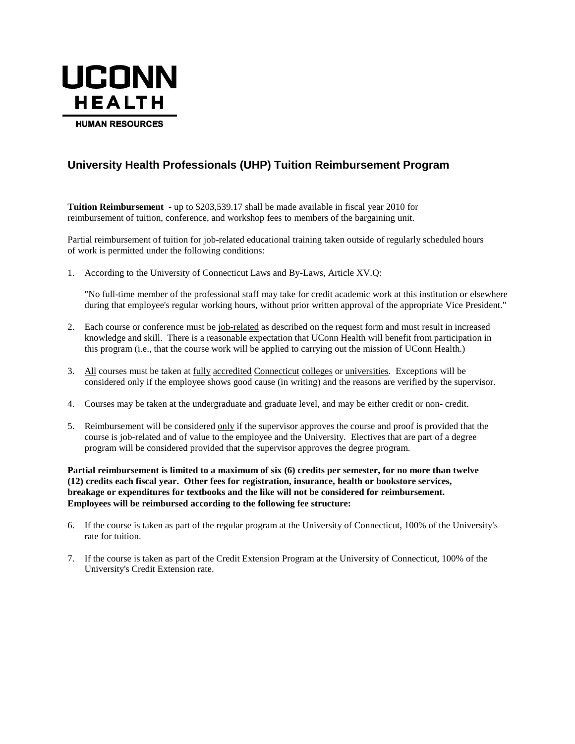

# **University Health Professionals (UHP) Tuition Reimbursement Program**

**Tuition Reimbursement** - up to \$203,539.17 shall be made available in fiscal year 2010 for reimbursement of tuition, conference, and workshop fees to members of the bargaining unit.

Partial reimbursement of tuition for job-related educational training taken outside of regularly scheduled hours of work is permitted under the following conditions:

1. According to the University of Connecticut Laws and By-Laws, Article XV.Q:

"No full-time member of the professional staff may take for credit academic work at this institution or elsewhere during that employee's regular working hours, without prior written approval of the appropriate Vice President."

- 2. Each course or conference must be job-related as described on the request form and must result in increased knowledge and skill. There is a reasonable expectation that UConn Health will benefit from participation in this program (i.e., that the course work will be applied to carrying out the mission of UConn Health.)
- 3. All courses must be taken at fully accredited Connecticut colleges or universities. Exceptions will be considered only if the employee shows good cause (in writing) and the reasons are verified by the supervisor.
- 4. Courses may be taken at the undergraduate and graduate level, and may be either credit or non- credit.
- 5. Reimbursement will be considered only if the supervisor approves the course and proof is provided that the course is job-related and of value to the employee and the University. Electives that are part of a degree program will be considered provided that the supervisor approves the degree program.

**Partial reimbursement is limited to a maximum of six (6) credits per semester, for no more than twelve (12) credits each fiscal year. Other fees for registration, insurance, health or bookstore services, breakage or expenditures for textbooks and the like will not be considered for reimbursement. Employees will be reimbursed according to the following fee structure:**

- 6. If the course is taken as part of the regular program at the University of Connecticut, 100% of the University's rate for tuition.
- 7. If the course is taken as part of the Credit Extension Program at the University of Connecticut, 100% of the University's Credit Extension rate.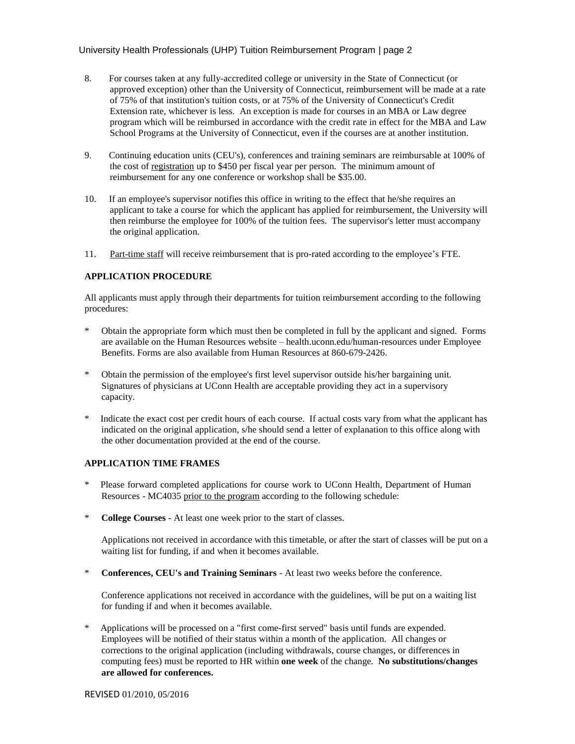- 8. For courses taken at any fully-accredited college or university in the State of Connecticut (or approved exception) other than the University of Connecticut, reimbursement will be made at a rate of 75% of that institution's tuition costs, or at 75% of the University of Connecticut's Credit Extension rate, whichever is less. An exception is made for courses in an MBA or Law degree program which will be reimbursed in accordance with the credit rate in effect for the MBA and Law School Programs at the University of Connecticut, even if the courses are at another institution.
- 9. Continuing education units (CEU's), conferences and training seminars are reimbursable at 100% of the cost of registration up to \$450 per fiscal year per person. The minimum amount of reimbursement for any one conference or workshop shall be \$35.00.
- 10. If an employee's supervisor notifies this office in writing to the effect that he/she requires an applicant to take a course for which the applicant has applied for reimbursement, the University will then reimburse the employee for 100% of the tuition fees. The supervisor's letter must accompany the original application.
- 11. Part-time staff will receive reimbursement that is pro-rated according to the employee's FTE.

## **APPLICATION PROCEDURE**

All applicants must apply through their departments for tuition reimbursement according to the following procedures:

- Obtain the appropriate form which must then be completed in full by the applicant and signed. Forms are available on the Human Resources website – health.uconn.edu/human-resources under Employee Benefits. Forms are also available from Human Resources at 860-679-2426.
- Obtain the permission of the employee's first level supervisor outside his/her bargaining unit. Signatures of physicians at UConn Health are acceptable providing they act in a supervisory capacity.
- \* Indicate the exact cost per credit hours of each course. If actual costs vary from what the applicant has indicated on the original application, s/he should send a letter of explanation to this office along with the other documentation provided at the end of the course.

## **APPLICATION TIME FRAMES**

- Please forward completed applications for course work to UConn Health, Department of Human Resources - MC4035 prior to the program according to the following schedule:
- \* **College Courses** At least one week prior to the start of classes.

Applications not received in accordance with this timetable, or after the start of classes will be put on a waiting list for funding, if and when it becomes available.

\* **Conferences, CEU's and Training Seminars** - At least two weeks before the conference.

Conference applications not received in accordance with the guidelines, will be put on a waiting list for funding if and when it becomes available.

Applications will be processed on a "first come-first served" basis until funds are expended. Employees will be notified of their status within a month of the application. All changes or corrections to the original application (including withdrawals, course changes, or differences in computing fees) must be reported to HR within **one week** of the change. **No substitutions/changes are allowed for conferences.**